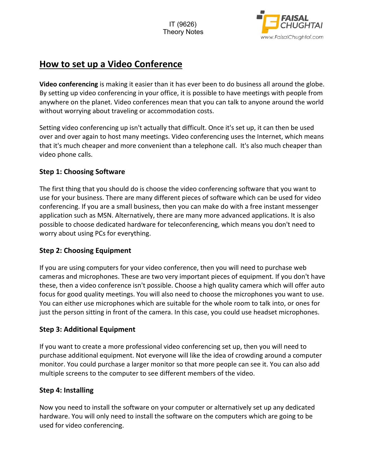

# **How to set up a Video Conference**

**Video conferencing** is making it easier than it has ever been to do business all around the globe. By setting up video conferencing in your office, it is possible to have meetings with people from anywhere on the planet. Video conferences mean that you can talk to anyone around the world without worrying about traveling or accommodation costs.

Setting video conferencing up isn't actually that difficult. Once it's set up, it can then be used over and over again to host many meetings. Video conferencing uses the Internet, which means that it's much cheaper and more convenient than a telephone call. It's also much cheaper than video phone calls.

## **Step 1: Choosing Software**

The first thing that you should do is choose the video conferencing software that you want to use for your business. There are many different pieces of software which can be used for video conferencing. If you are a small business, then you can make do with a free instant messenger application such as MSN. Alternatively, there are many more advanced applications. It is also possible to choose dedicated hardware for teleconferencing, which means you don't need to worry about using PCs for everything.

### **Step 2: Choosing Equipment**

If you are using computers for your video conference, then you will need to purchase web cameras and microphones. These are two very important pieces of equipment. If you don't have these, then a video conference isn't possible. Choose a high quality camera which will offer auto focus for good quality meetings. You will also need to choose the microphones you want to use. You can either use microphones which are suitable for the whole room to talk into, or ones for just the person sitting in front of the camera. In this case, you could use headset microphones.

### **Step 3: Additional Equipment**

If you want to create a more professional video conferencing set up, then you will need to purchase additional equipment. Not everyone will like the idea of crowding around a computer monitor. You could purchase a larger monitor so that more people can see it. You can also add multiple screens to the computer to see different members of the video.

### **Step 4: Installing**

Now you need to install the software on your computer or alternatively set up any dedicated hardware. You will only need to install the software on the computers which are going to be used for video conferencing.